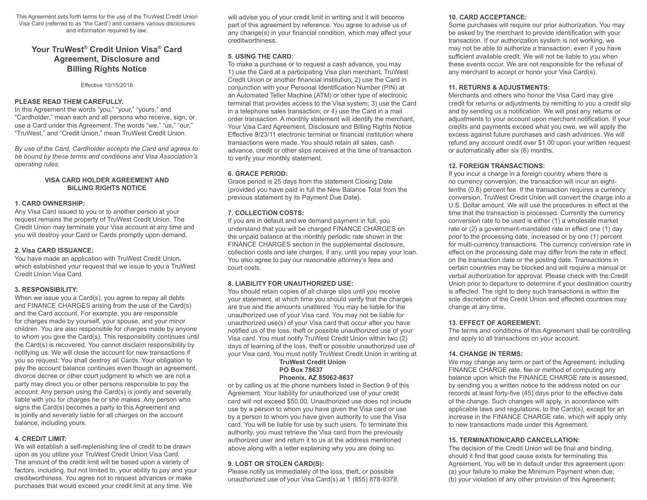This Agreement sets forth terms for the use of the TruWest Credit Union Visa Card (referred to as "the Card") and contains various disclosures and information required by law.

# **Your TruWest® Credit Union Visa® Card Agreement, Disclosure and Billing Rights Notice**

Effective 10/15/2018

#### **PLEASE READ THEM CAREFULLY.**

In this Agreement the words "you," "your," "yours," and "Cardholder," mean each and all persons who receive, sign, or use a Card under this Agreement. The words "we," "us," "our," "TruWest," and "Credit Union," mean TruWest Credit Union.

*By use of the Card, Cardholder accepts the Card and agrees to be bound by these terms and conditions and Visa Association's operating rules.*

### **VISA CARD HOLDER AGREEMENT AND BILLING RIGHTS NOTICE**

#### **1. CARD OWNERSHIP:**

Any Visa Card issued to you or to another person at your request remains the property of TruWest Credit Union. The Credit Union may terminate your Visa account at any time and you will destroy your Card or Cards promptly upon demand.

#### **2. Visa CARD ISSUANCE:**

You have made an application with TruWest Credit Union, which established your request that we issue to you a TruWest Credit Union Visa Card.

### **3. RESPONSIBILITY:**

When we issue you a Card(s), you agree to repay all debts and FINANCE CHARGES arising from the use of the Card(s) and the Card account. For example, you are responsible for charges made by yourself, your spouse, and your minor children. You are also responsible for charges made by anyone to whom you give the Card(s). This responsibility continues until the Card(s) is recovered. You cannot disclaim responsibility by notifying us. We will close the account for new transactions if you so request. You shall destroy all Cards. Your obligation to pay the account balance continues even though an agreement, divorce decree or other court judgment to which we are not a party may direct you or other persons responsible to pay the account. Any person using the Card(s) is jointly and severally liable with you for charges he or she makes. Any person who signs the Card(s) becomes a party to this Agreement and is jointly and severally liable for all charges on the account balance, including yours.

### **4. CREDIT LIMIT:**

We will establish a self-replenishing line of credit to be drawn upon as you utilize your TruWest Credit Union Visa Card. The amount of the credit limit will be based upon a variety of factors, including, but not limited to, your ability to pay and your creditworthiness. You agree not to request advances or make purchases that would exceed your credit limit at any time. We

will advise you of your credit limit in writing and it will become part of this agreement by reference. You agree to advise us of any change(s) in your financial condition, which may affect your creditworthiness.

### **5. USING THE CARD:**

To make a purchase or to request a cash advance, you may 1) use the Card at a participating Visa plan merchant, TruWest Credit Union or another financial institution; 2) use the Card in conjunction with your Personal Identification Number (PIN) at an Automated Teller Machine (ATM) or other type of electronic terminal that provides access to the Visa system; 3) use the Card in a telephone sales transaction; or 4) use the Card in a mail order transaction. A monthly statement will identify the merchant, Your Visa Card Agreement, Disclosure and Billing Rights Notice Effective 9/23/11 electronic terminal or financial institution where transactions were made. You should retain all sales, cash advance, credit or other slips received at the time of transaction to verify your monthly statement.

#### **6. GRACE PERIOD:**

Grace period is 25 days from the statement Closing Date (provided you have paid in full the New Balance Total from the previous statement by its Payment Due Date).

### **7. COLLECTION COSTS:**

If you are in default and we demand payment in full, you understand that you will be charged FINANCE CHARGES on the unpaid balance at the monthly periodic rate shown in the FINANCE CHARGES section in the supplemental disclosure, collection costs and late charges, if any, until you repay your loan. You also agree to pay our reasonable attorney's fees and court costs.

### **8. LIABILITY FOR UNAUTHORIZED USE:**

You should retain copies of all charge slips until you receive your statement, at which time you should verify that the charges are true and the amounts unaltered. You may be liable for the unauthorized use of your Visa card. You may not be liable for unauthorized use(s) of your Visa card that occur after you have notified us of the loss, theft or possible unauthorized use of your Visa card. You must notify TruWest Credit Union within two (2) days of learning of the loss, theft or possible unauthorized use of your Visa card. You must notify TruWest Credit Union in writing at

#### **TruWest Credit Union PO Box 78637 Phoenix, AZ 85062-8637**

or by calling us at the phone numbers listed in Section 9 of this Agreement. Your liability for unauthorized use of your credit card will not exceed \$50.00. Unauthorized use does not include use by a person to whom you have given the Visa card or use by a person to whom you have given authority to use the Visa card. You will be liable for use by such users. To terminate this authority, you must retrieve the Visa card from the previously authorized user and return it to us at the address mentioned above along with a letter explaining why you are doing so.

### **9. LOST OR STOLEN CARD(S):**

Please notify us immediately of the loss, theft, or possible unauthorized use of your Visa Card(s) at 1 (855) 878-9378.

#### **10. CARD ACCEPTANCE:**

Some purchases will require our prior authorization. You may be asked by the merchant to provide identification with your transaction. If our authorization system is not working, we may not be able to authorize a transaction, even if you have sufficient available credit. We will not be liable to you when these events occur. We are not responsible for the refusal of any merchant to accept or honor your Visa Card(s).

#### **11. RETURNS & ADJUSTMENTS:**

Merchants and others who honor the Visa Card may give credit for returns or adjustments by remitting to you a credit slip and by sending us a notification. We will post any returns or adjustments to your account upon merchant notification. If your credits and payments exceed what you owe, we will apply the excess against future purchases and cash advances. We will refund any account credit over \$1.00 upon your written request or automatically after six (6) months.

#### **12. FOREIGN TRANSACTIONS:**

If you incur a charge in a foreign country where there is no currency conversion, the transaction will incur an eighttenths (0.8) percent fee. If the transaction requires a currency conversion, TruWest Credit Union will convert the charge into a U.S. Dollar amount. We will use the procedures in effect at the time that the transaction is processed. Currently the currency conversion rate to be used is either (1) a wholesale market rate or (2) a government-mandated rate in effect one (1) day prior to the processing date, increased or by one (1) percent for multi-currency transactions. The currency conversion rate in effect on the processing date may differ from the rate in effect on the transaction date or the posting date. Transactions in certain countries may be blocked and will require a manual or verbal authorization for approval. Please check with the Credit Union prior to departure to determine if your destination country is affected. The right to deny such transactions is within the sole discretion of the Credit Union and affected countries may change at any time.

### **13. EFFECT OF AGREEMENT:**

The terms and conditions of this Agreement shall be controlling and apply to all transactions on your account.

### **14. CHANGE IN TERMS:**

We may change any term or part of the Agreement, including FINANCE CHARGE rate, fee or method of computing any balance upon which the FINANCE CHARGE rate is assessed, by sending you a written notice to the address noted on our records at least forty-five (45) days prior to the effective date of the change. Such changes will apply, in accordance with applicable laws and regulations, to the Card(s), except for an increase in the FINANCE CHARGE rate, which will apply only to new transactions made under this Agreement.

### **15. TERMINATION/CARD CANCELLATION:**

The decision of the Credit Union will be final and binding, should it find that good cause exists for terminating this Agreement. You will be in default under this agreement upon: (a) your failure to make the Minimum Payment when due; (b) your violation of any other provision of this Agreement;